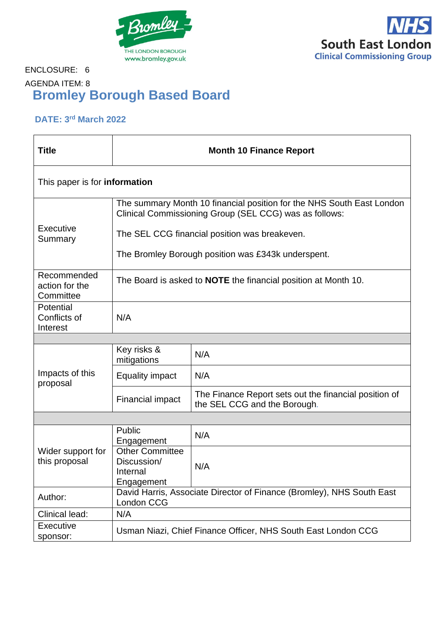



#### ENCLOSURE: 6 AGENDA ITEM: 8 **Bromley Borough Based Board**

#### **DATE: 3 rd March 2022**

| <b>Title</b>                               |                                                                 | <b>Month 10 Finance Report</b>                                                                                                  |  |  |  |  |  |  |
|--------------------------------------------|-----------------------------------------------------------------|---------------------------------------------------------------------------------------------------------------------------------|--|--|--|--|--|--|
| This paper is for information              |                                                                 |                                                                                                                                 |  |  |  |  |  |  |
|                                            |                                                                 | The summary Month 10 financial position for the NHS South East London<br>Clinical Commissioning Group (SEL CCG) was as follows: |  |  |  |  |  |  |
| Executive<br>Summary                       |                                                                 | The SEL CCG financial position was breakeven.                                                                                   |  |  |  |  |  |  |
|                                            |                                                                 | The Bromley Borough position was £343k underspent.                                                                              |  |  |  |  |  |  |
| Recommended<br>action for the<br>Committee |                                                                 | The Board is asked to <b>NOTE</b> the financial position at Month 10.                                                           |  |  |  |  |  |  |
| Potential<br>Conflicts of<br>Interest      | N/A                                                             |                                                                                                                                 |  |  |  |  |  |  |
|                                            |                                                                 |                                                                                                                                 |  |  |  |  |  |  |
|                                            | Key risks &<br>mitigations                                      | N/A                                                                                                                             |  |  |  |  |  |  |
| Impacts of this<br>proposal                | <b>Equality impact</b>                                          | N/A                                                                                                                             |  |  |  |  |  |  |
|                                            | <b>Financial impact</b>                                         | The Finance Report sets out the financial position of<br>the SEL CCG and the Borough.                                           |  |  |  |  |  |  |
|                                            |                                                                 |                                                                                                                                 |  |  |  |  |  |  |
|                                            | Public<br>Engagement                                            | N/A                                                                                                                             |  |  |  |  |  |  |
| Wider support for<br>this proposal         | <b>Other Committee</b><br>Discussion/<br>Internal<br>Engagement | N/A                                                                                                                             |  |  |  |  |  |  |
| Author:                                    | London CCG                                                      | David Harris, Associate Director of Finance (Bromley), NHS South East                                                           |  |  |  |  |  |  |
| Clinical lead:                             | N/A                                                             |                                                                                                                                 |  |  |  |  |  |  |
| <b>Executive</b><br>sponsor:               |                                                                 | Usman Niazi, Chief Finance Officer, NHS South East London CCG                                                                   |  |  |  |  |  |  |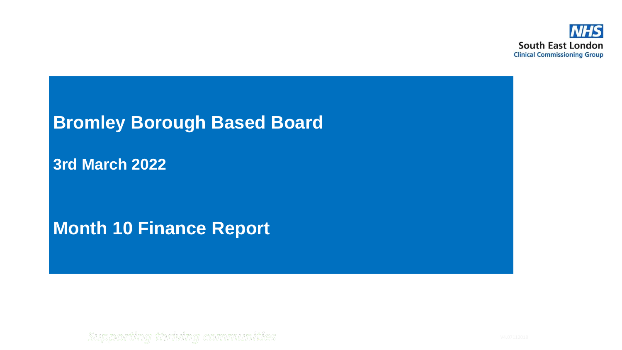

# **Bromley Borough Based Board**

**3rd March 2022**

**Month 10 Finance Report**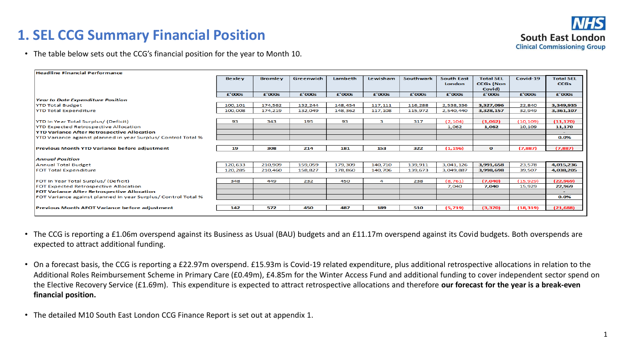# **1. SEL CCG Summary Financial Position**

• The table below sets out the CCG's financial position for the year to Month 10.

| <b>Headline Financial Performance</b>                         |               |                |           |         |          |           |                   |                  |           |                  |
|---------------------------------------------------------------|---------------|----------------|-----------|---------|----------|-----------|-------------------|------------------|-----------|------------------|
|                                                               | <b>Bexley</b> | <b>Bromley</b> | Greenwich | Lambeth | Lewisham | Southwark | <b>South East</b> | <b>Total SEL</b> | Covid-19  | <b>Total SEL</b> |
|                                                               |               |                |           |         |          |           | <b>London</b>     | <b>CCGs (Non</b> |           | <b>CCGs</b>      |
|                                                               |               |                |           |         |          |           |                   | Covid)           |           |                  |
|                                                               | £'000s        | £'000s         | £'000s    | £'0005  | £'000s   | £'000s    | £'000s            | £'000s           | £'000s    | £'000s           |
| <b>Year to Date Expenditure Position</b>                      |               |                |           |         |          |           |                   |                  |           |                  |
| <b>YTD Total Budget</b>                                       | 100,101       | 174,562        | 132,244   | 148,454 | 117, 111 | 116,288   | 2,538,336         | 3,327,096        | 22,840    | 3,349,935        |
| <b>YTD Total Expenditure</b>                                  | 100,008       | 174,219        | 132,049   | 148,362 | 117,108  | 115,972   | 2,540,440         | 3,328,157        | 32,949    | 3,361,107        |
|                                                               |               |                |           |         |          |           |                   |                  |           |                  |
| YTD In Year Total Surplus/ (Deficit)                          | 93            | 343            | 195       | 93      | в        | 317       | (2, 104)          | (1,062)          | (10, 109) | (11, 170)        |
| <b>YTD Expected Retrospective Allocation</b>                  |               |                |           |         |          |           | 1,062             | 1,062            | 10,109    | 11,170           |
| <b>YTD Variance After Retrospective Allocation</b>            |               |                |           |         |          |           |                   |                  |           |                  |
| YTD Variance against planned in year Surplus/ Control Total % |               |                |           |         |          |           |                   |                  |           | 0.0%             |
|                                                               |               |                |           |         |          |           |                   |                  |           |                  |
| <b>Previous Month YTD Variance before adjustment</b>          | 19            | 308            | 214       | 181     | 153      | 322       | (1, 196)          | $\mathbf{o}$     | (7, 887)  | (7, 887)         |
|                                                               |               |                |           |         |          |           |                   |                  |           |                  |
| <b>Annual Position</b>                                        |               |                |           |         |          |           |                   |                  |           |                  |
| Annual Total Budget                                           | 120,633       | 210,909        | 159,059   | 179,309 | 140,710  | 139,911   | 3,041,126         | 3,991,658        | 23,578    | 4,015,236        |
| <b>FOT Total Expenditure</b>                                  | 120,285       | 210,460        | 158,827   | 178,860 | 140,706  | 139,673   | 3,049,887         | 3,998,698        | 39,507    | 4,038,205        |
|                                                               |               |                |           |         |          |           |                   |                  |           |                  |
| <b>FOT In Year Total Surplus/ (Deficit)</b>                   | 348           | 449            | 232       | 450     | 4        | 238       | (8, 761)          | (7,040)          | (15,929)  | (22,969)         |
| <b>FOT Expected Retrospective Allocation</b>                  |               |                |           |         |          |           | 7,040             | 7,040            | 15,929    | 22,969           |
| <b>FOT Variance After Retrospective Allocation</b>            |               |                |           |         |          |           |                   |                  |           |                  |
| FOT Variance against planned in year Surplus/ Control Total % |               |                |           |         |          |           |                   |                  |           | 0.0%             |
|                                                               |               |                |           |         |          |           |                   |                  |           |                  |
| Previous Month AFOT Variance before adjustment                | 142           | 572            | 450       | 487     | 189      | 510       | (5, 719)          | (3,370)          | (18, 319) | (21, 688)        |

- The CCG is reporting a £1.06m overspend against its Business as Usual (BAU) budgets and an £11.17m overspend against its Covid budgets. Both overspends are expected to attract additional funding.
- On a forecast basis, the CCG is reporting a £22.97m overspend. £15.93m is Covid-19 related expenditure, plus additional retrospective allocations in relation to the Additional Roles Reimbursement Scheme in Primary Care (£0.49m), £4.85m for the Winter Access Fund and additional funding to cover independent sector spend on the Elective Recovery Service (£1.69m). This expenditure is expected to attract retrospective allocations and therefore **our forecast for the year is a break-even financial position.**
- The detailed M10 South East London CCG Finance Report is set out at appendix 1.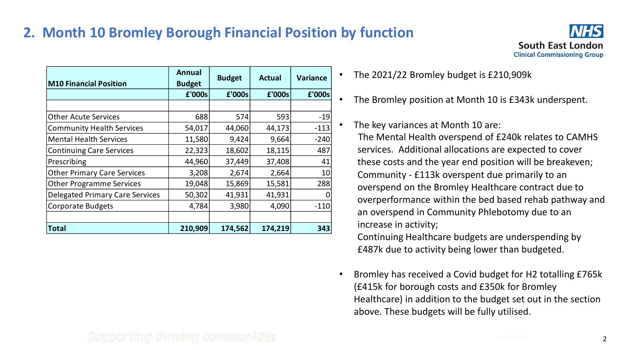### **2. Month 10 Bromley Borough Financial Position by function**



| <b>M10 Financial Position</b>          | <b>Annual</b><br><b>Budget</b> | <b>Budget</b> | <b>Actual</b> | <b>Variance</b> |
|----------------------------------------|--------------------------------|---------------|---------------|-----------------|
|                                        | £'000s                         | £'000s        | £'000s        | £'000s          |
|                                        |                                |               |               |                 |
| <b>Other Acute Services</b>            | 688                            | 574           | 593           | $-19$           |
| <b>Community Health Services</b>       | 54,017                         | 44,060        | 44,173        | $-113$          |
| <b>Mental Health Services</b>          | 11,580                         | 9,424         | 9,664         | $-240$          |
| <b>Continuing Care Services</b>        | 22,323                         | 18,602        | 18,115        | 487             |
| Prescribing                            | 44,960                         | 37,449        | 37,408        | 41              |
| <b>Other Primary Care Services</b>     | 3,208                          | 2,674         | 2,664         | 10              |
| <b>Other Programme Services</b>        | 19,048                         | 15,869        | 15,581        | 288             |
| <b>Delegated Primary Care Services</b> | 50,302                         | 41,931        | 41,931        |                 |
| Corporate Budgets                      | 4,784                          | 3,980         | 4,090         | $-110$          |
|                                        |                                |               |               |                 |
| Total                                  | 210,909                        | 174,562       | 174,219       | 343             |

- The 2021/22 Bromley budget is £210,909k
- The Bromley position at Month 10 is £343k underspent.
- The key variances at Month 10 are:

The Mental Health overspend of £240k relates to CAMHS services. Additional allocations are expected to cover these costs and the year end position will be breakeven; Community - £113k overspent due primarily to an overspend on the Bromley Healthcare contract due to overperformance within the bed based rehab pathway and an overspend in Community Phlebotomy due to an increase in activity;

Continuing Healthcare budgets are underspending by £487k due to activity being lower than budgeted.

• Bromley has received a Covid budget for H2 totalling £765k (£415k for borough costs and £350k for Bromley Healthcare) in addition to the budget set out in the section above. These budgets will be fully utilised.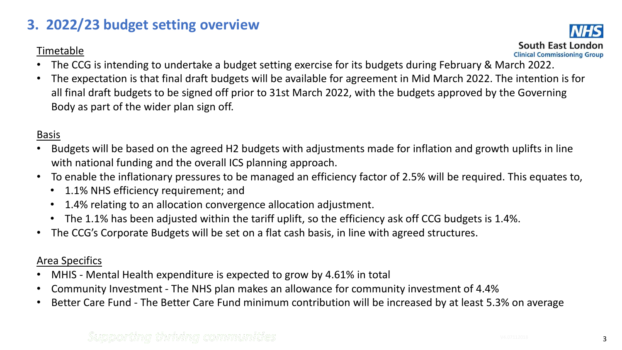## **3. 2022/23 budget setting overview**

#### Timetable



- The CCG is intending to undertake a budget setting exercise for its budgets during February & March 2022.
- The expectation is that final draft budgets will be available for agreement in Mid March 2022. The intention is for all final draft budgets to be signed off prior to 31st March 2022, with the budgets approved by the Governing Body as part of the wider plan sign off.

#### Basis

- Budgets will be based on the agreed H2 budgets with adjustments made for inflation and growth uplifts in line with national funding and the overall ICS planning approach.
- To enable the inflationary pressures to be managed an efficiency factor of 2.5% will be required. This equates to,
	- 1.1% NHS efficiency requirement; and
	- 1.4% relating to an allocation convergence allocation adjustment.
	- The 1.1% has been adjusted within the tariff uplift, so the efficiency ask off CCG budgets is 1.4%.
- The CCG's Corporate Budgets will be set on a flat cash basis, in line with agreed structures.

#### Area Specifics

- MHIS Mental Health expenditure is expected to grow by 4.61% in total
- Community Investment The NHS plan makes an allowance for community investment of 4.4%
- Better Care Fund The Better Care Fund minimum contribution will be increased by at least 5.3% on average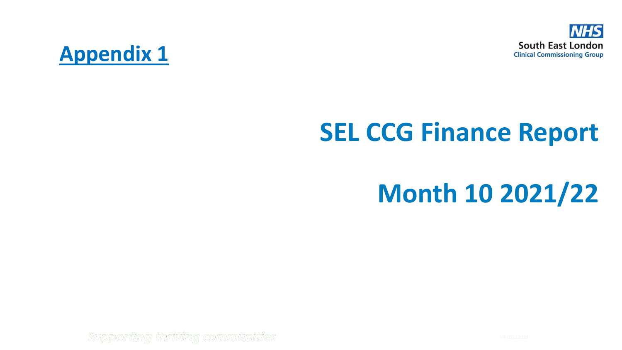



# **SEL CCG Finance Report**

# **Month 10 2021/22**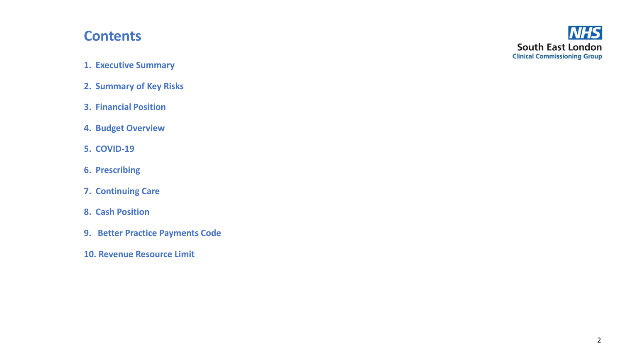### **Contents**

- **1. Executive Summary**
- **2. Summary of Key Risks**
- **3. Financial Position**
- **4. Budget Overview**
- **5. COVID -19**
- **6. Prescribing**
- **7. Continuing Care**
- **8. Cash Position**
- **9. Better Practice Payments Code**
- **10. Revenue Resource Limit**

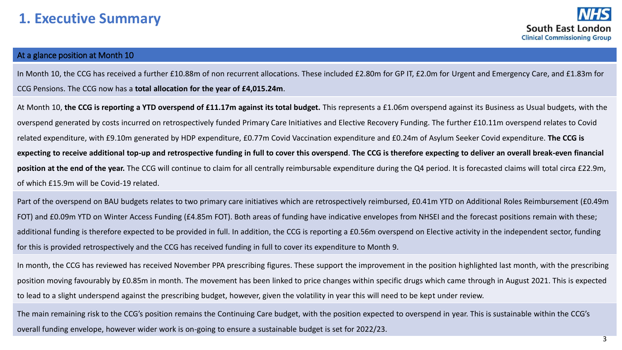#### At a glance position at Month 10

In Month 10, the CCG has received a further £10.88m of non recurrent allocations. These included £2.80m for GP IT, £2.0m for Urgent and Emergency Care, and £1.83m for CCG Pensions. The CCG now has a **total allocation for the year of £4,015.24m**.

At Month 10, **the CCG is reporting a YTD overspend of £11.17m against its total budget.** This represents a £1.06m overspend against its Business as Usual budgets, with the overspend generated by costs incurred on retrospectively funded Primary Care Initiatives and Elective Recovery Funding. The further £10.11m overspend relates to Covid related expenditure, with £9.10m generated by HDP expenditure, £0.77m Covid Vaccination expenditure and £0.24m of Asylum Seeker Covid expenditure. **The CCG is expecting to receive additional top-up and retrospective funding in full to cover this overspend**. **The CCG is therefore expecting to deliver an overall break-even financial position at the end of the year.** The CCG will continue to claim for all centrally reimbursable expenditure during the Q4 period. It is forecasted claims will total circa £22.9m, of which £15.9m will be Covid-19 related.

Part of the overspend on BAU budgets relates to two primary care initiatives which are retrospectively reimbursed, £0.41m YTD on Additional Roles Reimbursement (£0.49m FOT) and £0.09m YTD on Winter Access Funding (£4.85m FOT). Both areas of funding have indicative envelopes from NHSEI and the forecast positions remain with these; additional funding is therefore expected to be provided in full. In addition, the CCG is reporting a £0.56m overspend on Elective activity in the independent sector, funding for this is provided retrospectively and the CCG has received funding in full to cover its expenditure to Month 9.

In month, the CCG has reviewed has received November PPA prescribing figures. These support the improvement in the position highlighted last month, with the prescribing position moving favourably by £0.85m in month. The movement has been linked to price changes within specific drugs which came through in August 2021. This is expected to lead to a slight underspend against the prescribing budget, however, given the volatility in year this will need to be kept under review.

The main remaining risk to the CCG's position remains the Continuing Care budget, with the position expected to overspend in year. This is sustainable within the CCG's overall funding envelope, however wider work is on-going to ensure a sustainable budget is set for 2022/23.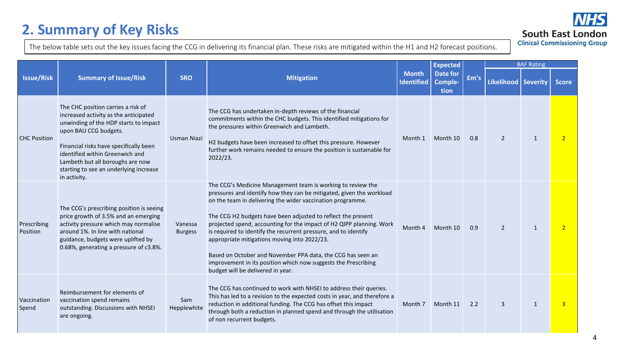# **2. Summary of Key Risks**

#### **NHS South East London**

**Clinical Commissioning Group** 

The below table sets out the key issues facing the CCG in delivering its financial plan. These risks are mitigated within the H1 and H2 forecast positions.

|                         |                                                                                                                                                                                                                                                                                                                          |                           |                                                                                                                                                                                                                                                                                                                                                                                                                                                                                                                                                                                                                                    |                                   | <b>Expected</b>                    |      | <b>BAF Rating</b>     |              |                |
|-------------------------|--------------------------------------------------------------------------------------------------------------------------------------------------------------------------------------------------------------------------------------------------------------------------------------------------------------------------|---------------------------|------------------------------------------------------------------------------------------------------------------------------------------------------------------------------------------------------------------------------------------------------------------------------------------------------------------------------------------------------------------------------------------------------------------------------------------------------------------------------------------------------------------------------------------------------------------------------------------------------------------------------------|-----------------------------------|------------------------------------|------|-----------------------|--------------|----------------|
| <b>Issue/Risk</b>       | <b>Summary of Issue/Risk</b>                                                                                                                                                                                                                                                                                             | <b>SRO</b>                | <b>Mitigation</b>                                                                                                                                                                                                                                                                                                                                                                                                                                                                                                                                                                                                                  | <b>Month</b><br><b>Identified</b> | <b>Date for</b><br>Comple-<br>tion | £m's | Likelihood   Severity |              | <b>Score</b>   |
| <b>CHC Position</b>     | The CHC position carries a risk of<br>increased activity as the anticipated<br>unwinding of the HDP starts to impact<br>upon BAU CCG budgets.<br>Financial risks have specifically been<br>identified within Greenwich and<br>Lambeth but all boroughs are now<br>starting to see an underlying increase<br>in activity. | Usman Niazi               | The CCG has undertaken in-depth reviews of the financial<br>commitments within the CHC budgets. This identified mitigations for<br>the pressures within Greenwich and Lambeth.<br>H2 budgets have been increased to offset this pressure. However<br>further work remains needed to ensure the position is sustainable for<br>2022/23.                                                                                                                                                                                                                                                                                             | Month 1                           | Month 10                           | 0.8  | $\overline{2}$        | $\mathbf 1$  | $\overline{2}$ |
| Prescribing<br>Position | The CCG's prescribing position is seeing<br>price growth of 3.5% and an emerging<br>activity pressure which may normalise<br>around 1%. In line with national<br>guidance, budgets were uplifted by<br>0.68%, generating a pressure of c3.8%.                                                                            | Vanessa<br><b>Burgess</b> | The CCG's Medicine Management team is working to review the<br>pressures and identify how they can be mitigated, given the workload<br>on the team in delivering the wider vaccination programme.<br>The CCG H2 budgets have been adjusted to reflect the present<br>projected spend, accounting for the impact of H2 QIPP planning. Work<br>is required to identify the recurrent pressure, and to identify<br>appropriate mitigations moving into 2022/23.<br>Based on October and November PPA data, the CCG has seen an<br>improvement in its position which now suggests the Prescribing<br>budget will be delivered in year. | Month 4                           | Month 10                           | 0.9  | $\overline{2}$        | $\mathbf{1}$ | $\overline{2}$ |
| Vaccination<br>Spend    | Reimbursement for elements of<br>vaccination spend remains<br>outstanding. Discussions with NHSEI<br>are ongoing.                                                                                                                                                                                                        | Sam<br>Hepplewhite        | The CCG has continued to work with NHSEI to address their queries.<br>This has led to a revision to the expected costs in year, and therefore a<br>reduction in additional funding. The CCG has offset this impact<br>through both a reduction in planned spend and through the utilisation<br>of non recurrent budgets.                                                                                                                                                                                                                                                                                                           | Month 7                           | Month 11                           | 2.2  | 3                     | $\mathbf 1$  | $\overline{3}$ |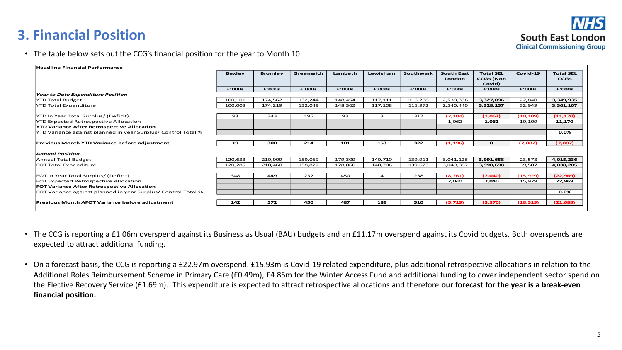### **3. Financial Position**



• The table below sets out the CCG's financial position for the year to Month 10.

| Headline Financial Performance                                       |               |                |           |         |                |           |                   |                  |           |                  |
|----------------------------------------------------------------------|---------------|----------------|-----------|---------|----------------|-----------|-------------------|------------------|-----------|------------------|
|                                                                      | <b>Bexley</b> | <b>Bromley</b> | Greenwich | Lambeth | Lewisham       | Southwark | <b>South East</b> | <b>Total SEL</b> | Covid-19  | <b>Total SEL</b> |
|                                                                      |               |                |           |         |                |           | London            | <b>CCGs (Non</b> |           | <b>CCGs</b>      |
|                                                                      |               |                |           |         |                |           |                   | Covid)           |           |                  |
|                                                                      | £'000s        | £'000s         | £'000s    | £'000s  | £'000s         | £'000s    | £'000s            | £'000s           | £'000s    | £'000s           |
| <b>Year to Date Expenditure Position</b>                             |               |                |           |         |                |           |                   |                  |           |                  |
| YTD Total Budget                                                     | 100,101       | 174,562        | 132,244   | 148,454 | 117,111        | 116,288   | 2,538,336         | 3,327,096        | 22,840    | 3,349,935        |
| <b>YTD Total Expenditure</b>                                         | 100,008       | 174,219        | 132,049   | 148,362 | 117,108        | 115,972   | 2,540,440         | 3,328,157        | 32,949    | 3,361,107        |
|                                                                      |               |                |           |         |                |           |                   |                  |           |                  |
| <b>YTD In Year Total Surplus/ (Deficit)</b>                          | 93            | 343            | 195       | 93      | 3              | 317       | (2, 104)          | (1,062)          | (10, 109) | (11, 170)        |
| <b>YTD Expected Retrospective Allocation</b>                         |               |                |           |         |                |           | 1,062             | 1,062            | 10,109    | 11,170           |
| <b>YTD Variance After Retrospective Allocation</b>                   |               |                |           |         |                |           |                   |                  |           |                  |
| <b>YTD Variance against planned in year Surplus/ Control Total %</b> |               |                |           |         |                |           |                   |                  |           | $0.0\%$          |
|                                                                      |               |                |           |         |                |           |                   |                  |           |                  |
| <b>Previous Month YTD Variance before adjustment</b>                 | 19            | 308            | 214       | 181     | 153            | 322       | (1, 196)          | $\mathbf{o}$     | (7, 887)  | (7, 887)         |
|                                                                      |               |                |           |         |                |           |                   |                  |           |                  |
| <b>Annual Position</b>                                               |               |                |           |         |                |           |                   |                  |           |                  |
| Annual Total Budget                                                  | 120,633       | 210,909        | 159,059   | 179,309 | 140,710        | 139,911   | 3,041,126         | 3,991,658        | 23,578    | 4,015,236        |
| <b>FOT Total Expenditure</b>                                         | 120,285       | 210,460        | 158,827   | 178,860 | 140,706        | 139,673   | 3,049,887         | 3,998,698        | 39,507    | 4,038,205        |
|                                                                      |               |                |           |         |                |           |                   |                  |           |                  |
| FOT In Year Total Surplus/ (Deficit)                                 | 348           | 449            | 232       | 450     | $\overline{a}$ | 238       | (8, 761)          | (7,040)          | (15, 929) | (22,969)         |
| FOT Expected Retrospective Allocation                                |               |                |           |         |                |           | 7,040             | 7,040            | 15,929    | 22,969           |
| <b>FOT Variance After Retrospective Allocation</b>                   |               |                |           |         |                |           |                   |                  |           |                  |
| FOT Variance against planned in year Surplus/ Control Total %        |               |                |           |         |                |           |                   |                  |           | 0.0%             |
|                                                                      |               |                |           |         |                |           |                   |                  |           |                  |
| Previous Month AFOT Variance before adjustment                       | 142           | 572            | 450       | 487     | 189            | 510       | (5,719)           | (3,370)          | (18, 319) | (21, 688)        |

- The CCG is reporting a £1.06m overspend against its Business as Usual (BAU) budgets and an £11.17m overspend against its Covid budgets. Both overspends are expected to attract additional funding.
- On a forecast basis, the CCG is reporting a £22.97m overspend. £15.93m is Covid-19 related expenditure, plus additional retrospective allocations in relation to the Additional Roles Reimbursement Scheme in Primary Care (£0.49m), £4.85m for the Winter Access Fund and additional funding to cover independent sector spend on the Elective Recovery Service (£1.69m). This expenditure is expected to attract retrospective allocations and therefore **our forecast for the year is a break-even financial position.**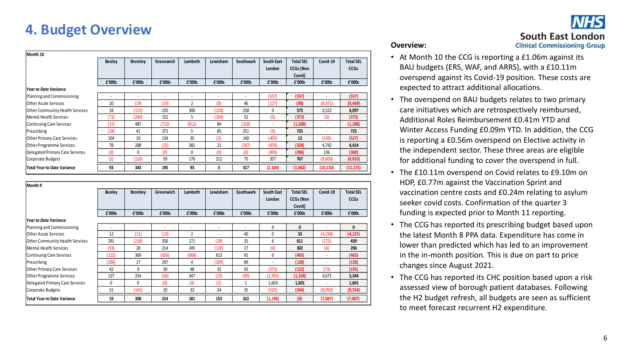### **4. Budget Overview**

| Month 10                           |                          |                          |                          |                          |          |                  |            |                  |                          |                  |  |
|------------------------------------|--------------------------|--------------------------|--------------------------|--------------------------|----------|------------------|------------|------------------|--------------------------|------------------|--|
|                                    | Bexley                   | <b>Bromley</b>           | Greenwich                | Lambeth                  | Lewisham | <b>Southwark</b> | South East | <b>Total SEL</b> | Covid-19                 | <b>Total SEL</b> |  |
|                                    |                          |                          |                          |                          |          |                  | London     | <b>CCGs (Non</b> |                          | <b>CCGs</b>      |  |
|                                    |                          |                          |                          |                          |          |                  |            | Covid)           |                          |                  |  |
|                                    | f'000s                   | f'000s                   | f'000s                   | £'000s                   | f'000s   | f'000s           | f'000s     | f'000s           | £'000s                   | £'000s           |  |
| <u>  Year to Date Variance</u>     |                          |                          |                          |                          |          |                  |            |                  |                          |                  |  |
| Planning and Commissioning         | $\overline{\phantom{a}}$ | $\overline{\phantom{a}}$ | $\overline{\phantom{a}}$ | $\overline{\phantom{a}}$ | ٠        |                  | (557)      | (557)            | $\overline{\phantom{a}}$ | (557)            |  |
| <b>Other Acute Services</b>        | 10                       | (19)                     | (10)                     | $\overline{2}$           | (0)      | 46               | (127)      | (98)             | (8, 371)                 | (8,469)          |  |
| Other Community Health Services    | 18                       | (113)                    | 235                      | 300                      | (124)    | 258              | 0          | 575              | 3,522                    | 4,097            |  |
| Mental Health Services             | (72)                     | (240)                    | 152                      | 5                        | (269)    | 52               | (0)        | (373)            | (0)                      | (373)            |  |
| Continuing Care Services           | (15)                     | 487                      | (713)                    | (812)                    | 84       | (318)            | ٠          | (1, 288)         | $\overline{\phantom{a}}$ | (1, 288)         |  |
| Prescribing                        | (28)                     | 41                       | 371                      | 5                        | 85       | 251              | (0)        | 725              | ٠                        | 725              |  |
| <b>Other Primary Care Services</b> | 104                      | 10                       | 134                      | 35                       | (5)      | 140              | (405)      | 12               | (539)                    | (527)            |  |
| <b>Other Programme Services</b>    | 78                       | 288                      | (32)                     | 381                      | 21       | (187)            | (876)      | (328)            | 4,742                    | 4,414            |  |
| Delegated Primary Care Services    | (0)                      | $\mathbf{0}$             | (0)                      | 0                        | (0)      | (0)              | (495)      | (496)            | 136                      | (360)            |  |
| Corporate Budgets                  | (2)                      | (110)                    | 59                       | 176                      | 212      | 75               | 357        | 767              | (9,600)                  | (8, 833)         |  |
| <b>Total Year to Date Variance</b> | 93                       | 343                      | 195                      | 93                       | 3        | 317              | (2, 104)   | (1,062)          | (10, 110)                | (11, 171)        |  |

| Month 9                                |                          |                          |                          |                          |          |                  |                   |                  |                          |                  |  |
|----------------------------------------|--------------------------|--------------------------|--------------------------|--------------------------|----------|------------------|-------------------|------------------|--------------------------|------------------|--|
|                                        | Bexley                   | <b>Bromley</b>           | Greenwich                | Lambeth                  | Lewisham | <b>Southwark</b> | <b>South East</b> | <b>Total SEL</b> | Covid-19                 | <b>Total SEL</b> |  |
|                                        |                          |                          |                          |                          |          |                  | London            | <b>CCGs (Non</b> |                          | <b>CCGs</b>      |  |
|                                        |                          |                          |                          |                          |          |                  |                   | Covid)           |                          |                  |  |
|                                        | f'000s                   | £'000s                   | £'000s                   | £'000s                   | f'000s   | £'000s           | £'000s            | £'000s           | £'000s                   | £'000s           |  |
| <b>Year to Date Variance</b>           |                          |                          |                          |                          |          |                  |                   |                  |                          |                  |  |
| Planning and Commissioning             | $\overline{\phantom{a}}$ | $\overline{\phantom{a}}$ | $\overline{\phantom{a}}$ | $\overline{\phantom{a}}$ | ٠        |                  | $\Omega$          | 0                |                          | 0                |  |
| lOther Acute Services                  | 12                       | (11)                     | (10)                     | $\overline{2}$           | ٠        | 40               | $\Omega$          | 33               | (4,258)                  | (4,225)          |  |
| <b>Other Community Health Services</b> | 291                      | (218)                    | 356                      | 171                      | (29)     | 35               | 6                 | 611              | (173)                    | 439              |  |
| Mental Health Services                 | (93)                     | 28                       | 214                      | 245                      | (120)    | 27               | (0)               | 302              | (6)                      | 296              |  |
| Continuing Care Services               | (215)                    | 369                      | (656)                    | (668)                    | 613      | 91               | 0                 | (465)            |                          | (465)            |  |
| Prescribing                            | (196)                    | 17                       | 297                      | 4                        | (339)    | 89               | ٠                 | (128)            | $\overline{\phantom{a}}$ | (128)            |  |
| <b>Other Primary Care Services</b>     | 42                       | 9                        | 30                       | 48                       | 32       | 93               | (375)             | (122)            | (73)                     | (195)            |  |
| <b>Other Programme Services</b>        | 127                      | 254                      | (36)                     | 347                      | (25)     | (90)             | (1, 905)          | (1, 328)         | 4,671                    | 3,344            |  |
| Delegated Primary Care Services        | $\Omega$                 | $\Omega$                 | (0)                      | (0)                      | (2)      |                  | 1,603             | 1,601            | $\overline{\phantom{a}}$ | 1,601            |  |
| Corporate Budgets                      | 51                       | (141)                    | 20                       | 32                       | 24       | 35               | (525)             | (504)            | (8,050)                  | (8, 554)         |  |
| <b>Total Year to Date Variance</b>     | 19                       | 308                      | 214                      | 181                      | 153      | 322              | (1, 196)          | (0)              | (7, 887)                 | (7, 887)         |  |

#### **Overview :**

South East London **Clinical Commissioning Group** 

- At Month 10 the CCG is reporting a £1.06m against its BAU budgets (ERS, WAF, and ARRS), with a £10.11m overspend against its Covid -19 position. These costs are expected to attract additional allocations.
- The overspend on BAU budgets relates to two primary care initiatives which are retrospectively reimbursed, Additional Roles Reimbursement £0.41m YTD and Winter Access Funding £0.09m YTD. In addition, the CCG is reporting a £0.56m overspend on Elective activity in the independent sector. These three areas are eligible for additional funding to cover the overspend in full.
- The £10.11m overspend on Covid relates to £9.10m on HDP, £0.77m against the Vaccination Sprint and vaccination centre costs and £0.24m relating to asylum seeker covid costs. Confirmation of the quarter 3 funding is expected prior to Month 11 reporting.
- The CCG has reported its prescribing budget based upon the latest Month 8 PPA data. Expenditure has come in lower than predicted which has led to an improvement in the in -month position. This is due on part to price changes since August 2021.
- The CCG has reported its CHC position based upon a risk assessed view of borough patient databases. Following the H2 budget refresh, all budgets are seen as sufficient to meet forecast recurrent H2 expenditure.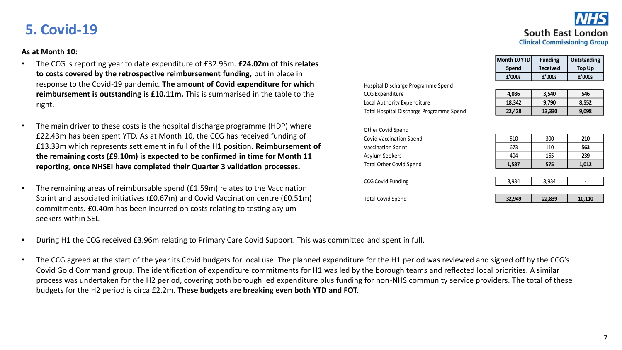### **5. Covid-19**

#### **As at Month 10:**

- The CCG is reporting year to date expenditure of £32.95m. **£24.02m of this relates to costs covered by the retrospective reimbursement funding,** put in place in response to the Covid-19 pandemic. **The amount of Covid expenditure for which reimbursement is outstanding is £10.11m.** This is summarised in the table to the right.
- The main driver to these costs is the hospital discharge programme (HDP) where £22.43m has been spent YTD. As at Month 10, the CCG has received funding of £13.33m which represents settlement in full of the H1 position. **Reimbursement of the remaining costs (£9.10m) is expected to be confirmed in time for Month 11 reporting, once NHSEI have completed their Quarter 3 validation processes.**
- The remaining areas of reimbursable spend (£1.59m) relates to the Vaccination Sprint and associated initiatives (£0.67m) and Covid Vaccination centre (£0.51m) commitments. £0.40m has been incurred on costs relating to testing asylum seekers within SEL.
- During H1 the CCG received £3.96m relating to Primary Care Covid Support. This was committed and spent in full.
- The CCG agreed at the start of the year its Covid budgets for local use. The planned expenditure for the H1 period was reviewed and signed off by the CCG's Covid Gold Command group. The identification of expenditure commitments for H1 was led by the borough teams and reflected local priorities. A similar process was undertaken for the H2 period, covering both borough led expenditure plus funding for non-NHS community service providers. The total of these budgets for the H2 period is circa £2.2m. **These budgets are breaking even both YTD and FOT.**

| Month 10 YTD | <b>Funding</b>  | Outstanding |
|--------------|-----------------|-------------|
| Spend        | <b>Received</b> | Top Up      |
| £'000s       | £'000s          | £'000s      |
|              |                 |             |

Hospital Discharge Programme Spend

Total Hospital Discharge Programme Spend **22,428 13,330 9,098**

**Local Authority Expenditure** 

CCG Expenditure **4,086 3,540 546**

Other Covid Spend **Covid Vaccination Spend Vaccination Sprint** Asylum Seekers

Total Other Covid Spend **1,587 575 1,012**

CCG Covid Funding 8,934 8,934 **-**

**70tal Covid Spend** 

| 4.086  | 3,540  | 546   |
|--------|--------|-------|
| 18,342 | 9,790  | 8,552 |
| 22,428 | 13,330 | 9,098 |

| 32,949 | 22,839 | 10,110 |
|--------|--------|--------|
|        |        |        |
| 8,934  | 8,934  |        |
|        |        |        |
| 1,587  | 575    | 1,012  |
| 404    | 165    | 239    |
| 673    | 110    | 563    |
| 510    | 300    | 210    |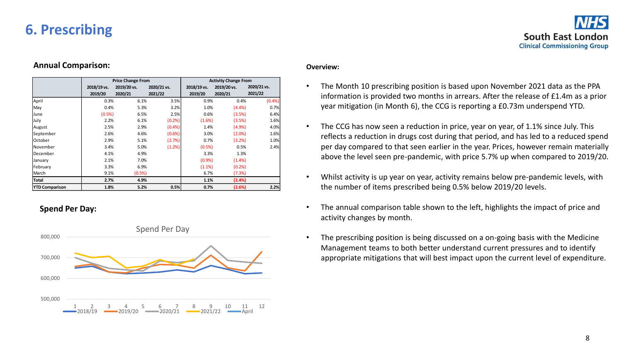### **6. Prescribing**

#### **Annual Comparison:**

|                       |             | <b>Price Change From</b> |             | <b>Activity Change From</b> |             |             |  |  |
|-----------------------|-------------|--------------------------|-------------|-----------------------------|-------------|-------------|--|--|
|                       | 2018/19 vs. | 2019/20 vs.              | 2020/21 vs. | 2018/19 vs.                 | 2019/20 vs. | 2020/21 vs. |  |  |
|                       | 2019/20     | 2020/21                  | 2021/22     | 2019/20                     | 2020/21     | 2021/22     |  |  |
| April                 | 0.3%        | 6.1%                     | 3.5%        | 0.9%                        | 0.4%        | (0.4% )     |  |  |
| May                   | 0.4%        | 5.3%                     | 3.2%        | 1.0%                        | (4.4%)      | 0.7%        |  |  |
| June                  | (0.5%)      | 6.5%                     | 2.5%        | 0.6%                        | (3.5%)      | 6.4%        |  |  |
| July                  | 2.2%        | 6.1%                     | (0.2% )     | (1.6%)                      | (3.5%)      | 1.6%        |  |  |
| August                | 2.5%        | 2.9%                     | $(0.4\%)$   | 1.4%                        | (4.9%       | 4.0%        |  |  |
| September             | 2.6%        | 4.6%                     | $(0.6\%)$   | 3.0%                        | $(2.0\%)$   | 1.6%        |  |  |
| lOctober              | 2.9%        | 5.1%                     | (2.7%)      | 0.7%                        | (3.2%)      | 1.0%        |  |  |
| <b>November</b>       | 3.4%        | 5.0%                     | (1.2%)      | (0.5%)                      | 0.5%        | 2.4%        |  |  |
| December              | 4.1%        | 4.9%                     |             | 3.3%                        | 1.3%        |             |  |  |
| January               | 2.1%        | 7.0%                     |             | (0.9%                       | (1.4% )     |             |  |  |
| February              | 3.3%        | 6.9%                     |             | $(1.1\%)$                   | $(0.2\%)$   |             |  |  |
| March                 | 9.1%        | (0.5%)                   |             | 6.7%                        | (7.3%)      |             |  |  |
| Total                 | 2.7%        | 4.9%                     |             | 1.1%                        | (2.4%)      |             |  |  |
| <b>YTD Comparison</b> | 1.8%        | 5.2%                     | 0.5%        | 0.7%                        | (2.6%)      | 2.2%        |  |  |

#### **Spend Per Day:**



#### **Overview:**

- The Month 10 prescribing position is based upon November 2021 data as the PPA information is provided two months in arrears. After the release of £1.4m as a prior year mitigation (in Month 6), the CCG is reporting a £0.73m underspend YTD.
- The CCG has now seen a reduction in price, year on year, of 1.1% since July. This reflects a reduction in drugs cost during that period, and has led to a reduced spend per day compared to that seen earlier in the year. Prices, however remain materially above the level seen pre-pandemic, with price 5.7% up when compared to 2019/20.
- Whilst activity is up year on year, activity remains below pre-pandemic levels, with the number of items prescribed being 0.5% below 2019/20 levels.
- The annual comparison table shown to the left, highlights the impact of price and activity changes by month.
- The prescribing position is being discussed on a on-going basis with the Medicine Management teams to both better understand current pressures and to identify appropriate mitigations that will best impact upon the current level of expenditure.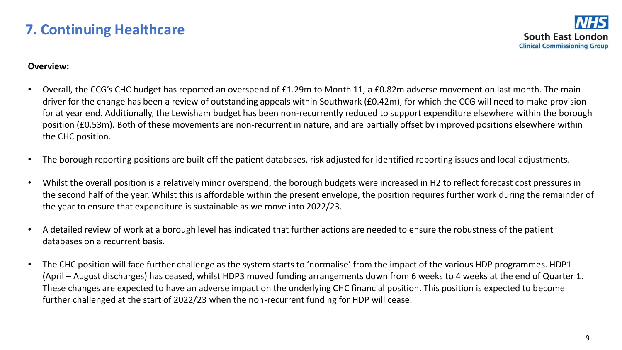#### **Overview:**

- Overall, the CCG's CHC budget has reported an overspend of £1.29m to Month 11, a £0.82m adverse movement on last month. The main driver for the change has been a review of outstanding appeals within Southwark (£0.42m), for which the CCG will need to make provision for at year end. Additionally, the Lewisham budget has been non-recurrently reduced to support expenditure elsewhere within the borough position (£0.53m). Both of these movements are non-recurrent in nature, and are partially offset by improved positions elsewhere within the CHC position.
- The borough reporting positions are built off the patient databases, risk adjusted for identified reporting issues and local adjustments.
- Whilst the overall position is a relatively minor overspend, the borough budgets were increased in H2 to reflect forecast cost pressures in the second half of the year. Whilst this is affordable within the present envelope, the position requires further work during the remainder of the year to ensure that expenditure is sustainable as we move into 2022/23.
- A detailed review of work at a borough level has indicated that further actions are needed to ensure the robustness of the patient databases on a recurrent basis.
- The CHC position will face further challenge as the system starts to 'normalise' from the impact of the various HDP programmes. HDP1 (April – August discharges) has ceased, whilst HDP3 moved funding arrangements down from 6 weeks to 4 weeks at the end of Quarter 1. These changes are expected to have an adverse impact on the underlying CHC financial position. This position is expected to become further challenged at the start of 2022/23 when the non-recurrent funding for HDP will cease.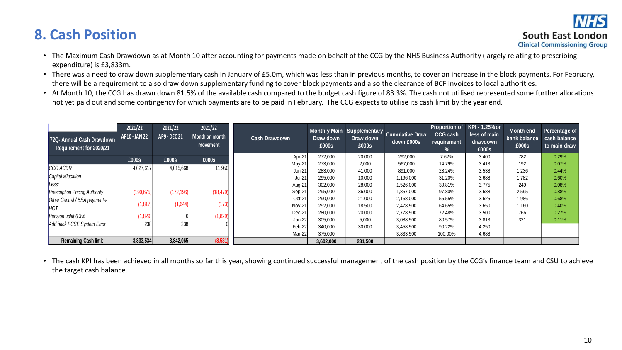### **8. Cash Position**

- The Maximum Cash Drawdown as at Month 10 after accounting for payments made on behalf of the CCG by the NHS Business Authority (largely relating to prescribing expenditure) is £3,833m.
- There was a need to draw down supplementary cash in January of £5.0m, which was less than in previous months, to cover an increase in the block payments. For February, there will be a requirement to also draw down supplementary funding to cover block payments and also the clearance of BCF invoices to local authorities.
- At Month 10, the CCG has drawn down 81.5% of the available cash compared to the budget cash figure of 83.3%. The cash not utilised represented some further allocations not yet paid out and some contingency for which payments are to be paid in February. The CCG expects to utilise its cash limit by the year end.

| 72Q- Annual Cash Drawdown<br>Requirement for 2020/21 | 2021/22<br>AP10 - JAN 22 | 2021/22<br>AP9 - DEC 21 | 2021/22<br>Month on month<br>movement | <b>Cash Drawdown</b> | Draw down<br>£000s | Draw down<br>£000s | Monthly Main Supplementary Cumulative Draw<br>down £000s | <b>CCG cash</b><br>requirement<br>% | Proportion of KPI - 1.25% or<br>less of main<br>drawdown<br>£000s | Month end<br>bank balance<br>£000s | Percentage of<br>cash balance<br>to main draw |
|------------------------------------------------------|--------------------------|-------------------------|---------------------------------------|----------------------|--------------------|--------------------|----------------------------------------------------------|-------------------------------------|-------------------------------------------------------------------|------------------------------------|-----------------------------------------------|
|                                                      | £000s                    | £000s                   | £000s                                 | Apr-21               | 272,000            | 20,000             | 292,000                                                  | 7.62%                               | 3,400                                                             | 782                                | 0.29%                                         |
| <b>CCG ACDR</b>                                      | 4,027,617                | 4,015,668               | 11,950                                | May-21               | 273,000            | 2,000              | 567,000                                                  | 14.79%                              | 3,413                                                             | 192                                | 0.07%                                         |
|                                                      |                          |                         |                                       | Jun-21               | 283,000            | 41,000             | 891,000                                                  | 23.24%                              | 3,538                                                             | 1,236                              | 0.44%                                         |
| Capital allocation                                   |                          |                         |                                       | Jul-21               | 295,000            | 10,000             | 1,196,000                                                | 31.20%                              | 3,688                                                             | 1.782                              | 0.60%                                         |
| Less:                                                |                          |                         |                                       | Aug-21               | 302,000            | 28,000             | 1,526,000                                                | 39.81%                              | 3,775                                                             | 249                                | 0.08%                                         |
| <b>Prescription Pricing Authority</b>                | (190, 675)               | (172, 196)              | (18, 479)                             | Sep-21               | 295,000            | 36,000             | 1,857,000                                                | 97.80%                              | 3,688                                                             | 2,595                              | 0.88%                                         |
| Other Central / BSA payments-                        |                          |                         |                                       | Oct-21               | 290,000            | 21,000             | 2,168,000                                                | 56.55%                              | 3,625                                                             | 1,986                              | 0.68%                                         |
| <b>HOT</b>                                           | (1, 817)                 | (1,644)                 | (173)                                 | Nov-21               | 292,000            | 18,500             | 2,478,500                                                | 64.65%                              | 3,650                                                             | 1,160                              | 0.40%                                         |
| Pension uplift 6.3%                                  | (1,829)                  |                         | (1,829)                               | Dec-21               | 280,000            | 20,000             | 2,778,500                                                | 72.48%                              | 3,500                                                             | 766                                | 0.27%                                         |
|                                                      |                          |                         |                                       | Jan-22               | 305,000            | 5,000              | 3,088,500                                                | 80.57%                              | 3,813                                                             | 321                                | 0.11%                                         |
| Add back PCSE System Error                           | 238                      | 238                     |                                       | Feb-22               | 340,000            | 30,000             | 3,458,500                                                | 90.22%                              | 4,250                                                             |                                    |                                               |
|                                                      |                          |                         |                                       | Mar-22               | 375,000            |                    | 3,833,500                                                | 100.00%                             | 4,688                                                             |                                    |                                               |
| <b>Remaining Cash limit</b>                          | 3,833,534                | 3,842,065               | (8, 531)                              |                      | 3,602,000          | 231,500            |                                                          |                                     |                                                                   |                                    |                                               |

• The cash KPI has been achieved in all months so far this year, showing continued successful management of the cash position by the CCG's finance team and CSU to achieve the target cash balance.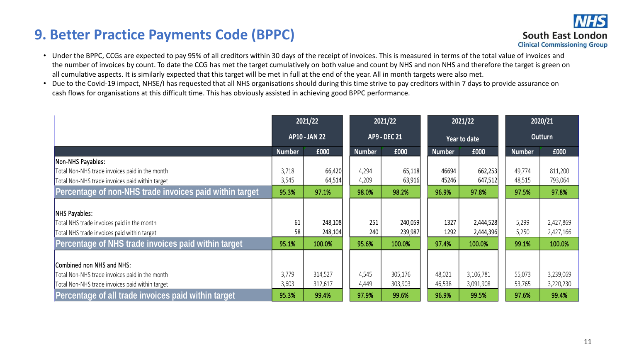# **9. Better Practice Payments Code (BPPC)**

- Under the BPPC, CCGs are expected to pay 95% of all creditors within 30 days of the receipt of invoices. This is measured in terms of the total value of invoices and the number of invoices by count. To date the CCG has met the target cumulatively on both value and count by NHS and non NHS and therefore the target is green on all cumulative aspects. It is similarly expected that this target will be met in full at the end of the year. All in month targets were also met.
- Due to the Covid-19 impact, NHSE/I has requested that all NHS organisations should during this time strive to pay creditors within 7 days to provide assurance on cash flows for organisations at this difficult time. This has obviously assisted in achieving good BPPC performance.

|                                                                                                                                | 2021/22              |                    | 2021/22        |                     |  | 2021/22          |                        | 2020/21          |                        |
|--------------------------------------------------------------------------------------------------------------------------------|----------------------|--------------------|----------------|---------------------|--|------------------|------------------------|------------------|------------------------|
|                                                                                                                                | <b>AP10 - JAN 22</b> |                    |                | <b>AP9 - DEC 21</b> |  | Year to date     |                        | <b>Outturn</b>   |                        |
|                                                                                                                                | <b>Number</b>        | £000               | <b>Number</b>  | £000                |  | <b>Number</b>    | £000                   | <b>Number</b>    | £000                   |
| Non-NHS Payables:                                                                                                              |                      |                    |                |                     |  |                  |                        |                  |                        |
| Total Non-NHS trade invoices paid in the month                                                                                 | 3,718                | 66,420             | 4,294          | 65,118              |  | 46694            | 662,253                | 49,774           | 811,200                |
| Total Non-NHS trade invoices paid within target                                                                                | 3,545                | 64,514             | 4,209          | 63,916              |  | 45246            | 647,512                | 48,515           | 793,064                |
| Percentage of non-NHS trade invoices paid within target                                                                        | 95.3%                | 97.1%              | 98.0%          | 98.2%               |  | 96.9%            | 97.8%                  | 97.5%            | 97.8%                  |
| NHS Payables:                                                                                                                  |                      |                    |                |                     |  |                  |                        |                  |                        |
| Total NHS trade invoices paid in the month                                                                                     | 61                   | 248,108            |                | 251<br>240,059      |  | 1327             | 2,444,528              | 5,299            | 2,427,869              |
| Total NHS trade invoices paid within target                                                                                    | 58                   | 248,104            |                | 240<br>239,987      |  | 1292             | 2,444,396              | 5,250            | 2,427,166              |
| Percentage of NHS trade invoices paid within target                                                                            | 95.1%                | 100.0%             | 95.6%          | 100.0%              |  | 97.4%            | 100.0%                 | 99.1%            | 100.0%                 |
| Combined non NHS and NHS:<br>Total Non-NHS trade invoices paid in the month<br>Total Non-NHS trade invoices paid within target | 3,779<br>3,603       | 314,527<br>312,617 | 4,545<br>4,449 | 305,176<br>303,903  |  | 48,021<br>46,538 | 3,106,781<br>3,091,908 | 55,073<br>53,765 | 3,239,069<br>3,220,230 |
| Percentage of all trade invoices paid within target                                                                            | 95.3%                | 99.4%              | 97.9%          | 99.6%               |  | 96.9%            | 99.5%                  | 97.6%            | 99.4%                  |